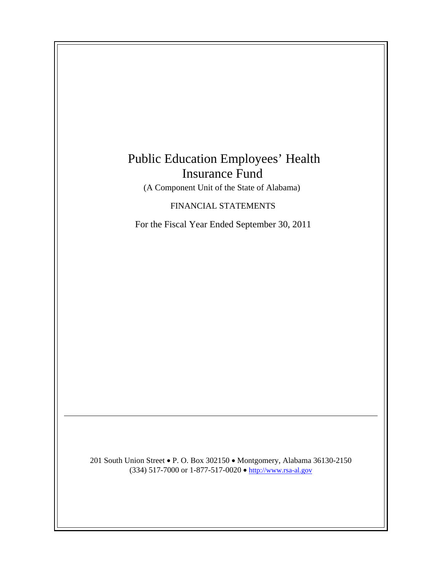# Public Education Employees' Health Insurance Fund

(A Component Unit of the State of Alabama)

FINANCIAL STATEMENTS

For the Fiscal Year Ended September 30, 2011

201 South Union Street • P. O. Box 302150 • Montgomery, Alabama 36130-2150 (334) 517-7000 or 1-877-517-0020  $\bullet$  http://www.rsa-al.gov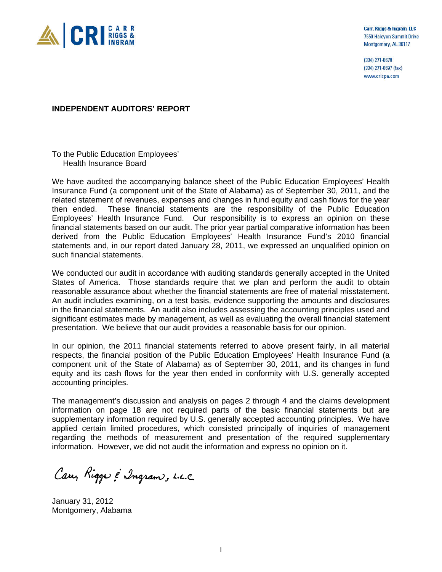

Carr, Riggs & Ingram, LLC 7550 Halcyon Summit Drive Montgomery, AL 36117

(334) 271-6678 (334) 271-6697 (fax) www.cricpa.com

## **INDEPENDENT AUDITORS' REPORT**

To the Public Education Employees' Health Insurance Board

We have audited the accompanying balance sheet of the Public Education Employees' Health Insurance Fund (a component unit of the State of Alabama) as of September 30, 2011, and the related statement of revenues, expenses and changes in fund equity and cash flows for the year then ended. These financial statements are the responsibility of the Public Education Employees' Health Insurance Fund. Our responsibility is to express an opinion on these financial statements based on our audit. The prior year partial comparative information has been derived from the Public Education Employees' Health Insurance Fund's 2010 financial statements and, in our report dated January 28, 2011, we expressed an unqualified opinion on such financial statements.

We conducted our audit in accordance with auditing standards generally accepted in the United States of America. Those standards require that we plan and perform the audit to obtain reasonable assurance about whether the financial statements are free of material misstatement. An audit includes examining, on a test basis, evidence supporting the amounts and disclosures in the financial statements. An audit also includes assessing the accounting principles used and significant estimates made by management, as well as evaluating the overall financial statement presentation. We believe that our audit provides a reasonable basis for our opinion.

In our opinion, the 2011 financial statements referred to above present fairly, in all material respects, the financial position of the Public Education Employees' Health Insurance Fund (a component unit of the State of Alabama) as of September 30, 2011, and its changes in fund equity and its cash flows for the year then ended in conformity with U.S. generally accepted accounting principles.

The management's discussion and analysis on pages 2 through 4 and the claims development information on page 18 are not required parts of the basic financial statements but are supplementary information required by U.S. generally accepted accounting principles. We have applied certain limited procedures, which consisted principally of inquiries of management regarding the methods of measurement and presentation of the required supplementary information. However, we did not audit the information and express no opinion on it.

Carry Riggs & Ingram, L.L.C.

January 31, 2012 Montgomery, Alabama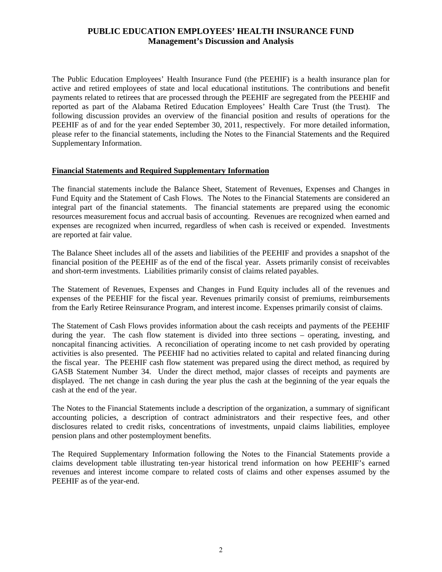# **PUBLIC EDUCATION EMPLOYEES' HEALTH INSURANCE FUND Management's Discussion and Analysis**

The Public Education Employees' Health Insurance Fund (the PEEHIF) is a health insurance plan for active and retired employees of state and local educational institutions. The contributions and benefit payments related to retirees that are processed through the PEEHIF are segregated from the PEEHIF and reported as part of the Alabama Retired Education Employees' Health Care Trust (the Trust). The following discussion provides an overview of the financial position and results of operations for the PEEHIF as of and for the year ended September 30, 2011, respectively. For more detailed information, please refer to the financial statements, including the Notes to the Financial Statements and the Required Supplementary Information.

## **Financial Statements and Required Supplementary Information**

The financial statements include the Balance Sheet, Statement of Revenues, Expenses and Changes in Fund Equity and the Statement of Cash Flows. The Notes to the Financial Statements are considered an integral part of the financial statements. The financial statements are prepared using the economic resources measurement focus and accrual basis of accounting. Revenues are recognized when earned and expenses are recognized when incurred, regardless of when cash is received or expended. Investments are reported at fair value.

The Balance Sheet includes all of the assets and liabilities of the PEEHIF and provides a snapshot of the financial position of the PEEHIF as of the end of the fiscal year. Assets primarily consist of receivables and short-term investments. Liabilities primarily consist of claims related payables.

The Statement of Revenues, Expenses and Changes in Fund Equity includes all of the revenues and expenses of the PEEHIF for the fiscal year. Revenues primarily consist of premiums, reimbursements from the Early Retiree Reinsurance Program, and interest income. Expenses primarily consist of claims.

The Statement of Cash Flows provides information about the cash receipts and payments of the PEEHIF during the year. The cash flow statement is divided into three sections – operating, investing, and noncapital financing activities. A reconciliation of operating income to net cash provided by operating activities is also presented. The PEEHIF had no activities related to capital and related financing during the fiscal year. The PEEHIF cash flow statement was prepared using the direct method, as required by GASB Statement Number 34. Under the direct method, major classes of receipts and payments are displayed. The net change in cash during the year plus the cash at the beginning of the year equals the cash at the end of the year.

The Notes to the Financial Statements include a description of the organization, a summary of significant accounting policies, a description of contract administrators and their respective fees, and other disclosures related to credit risks, concentrations of investments, unpaid claims liabilities, employee pension plans and other postemployment benefits.

The Required Supplementary Information following the Notes to the Financial Statements provide a claims development table illustrating ten-year historical trend information on how PEEHIF's earned revenues and interest income compare to related costs of claims and other expenses assumed by the PEEHIF as of the year-end.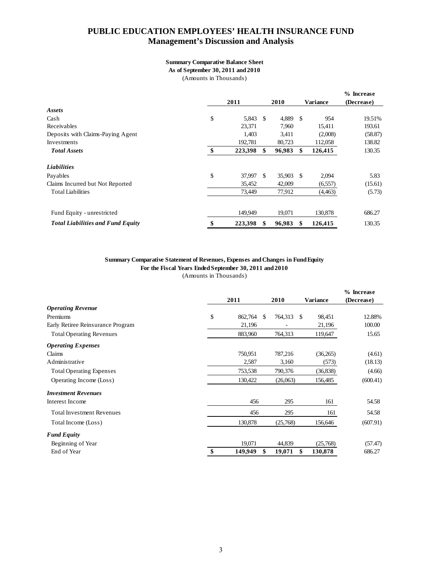## **PUBLIC EDUCATION EMPLOYEES' HEALTH INSURANCE FUND Management's Discussion and Analysis**

#### **Summary Comparative Balance Sheet**

**As of September 30, 2011 and 2010**

(Amounts in Thousands)

|                                          |               |     |        |     |          | % Increase |
|------------------------------------------|---------------|-----|--------|-----|----------|------------|
|                                          | 2011          |     | 2010   |     | Variance | (Decrease) |
| Assets                                   |               |     |        |     |          |            |
| Cash                                     | \$<br>5,843   | \$  | 4,889  | -\$ | 954      | 19.51%     |
| Receivables                              | 23.371        |     | 7,960  |     | 15.411   | 193.61     |
| Deposits with Claims-Paying Agent        | 1,403         |     | 3,411  |     | (2,008)  | (58.87)    |
| Investments                              | 192.781       |     | 80,723 |     | 112,058  | 138.82     |
| <b>Total Assets</b>                      | \$<br>223,398 | \$  | 96,983 | \$  | 126,415  | 130.35     |
| <b>Liabilities</b>                       |               |     |        |     |          |            |
| Payables                                 | \$<br>37,997  | \$. | 35,903 | -\$ | 2,094    | 5.83       |
| Claims Incurred but Not Reported         | 35,452        |     | 42,009 |     | (6, 557) | (15.61)    |
| <b>Total Liabilities</b>                 | 73,449        |     | 77,912 |     | (4, 463) | (5.73)     |
| Fund Equity - unrestricted               | 149,949       |     | 19,071 |     | 130,878  | 686.27     |
| <b>Total Liabilities and Fund Equity</b> | \$<br>223,398 | S   | 96,983 | \$  | 126,415  | 130.35     |

## **Summary Comparative Statement of Revenues, Expenses and Changes in Fund Equity For the Fiscal Years Ended September 30, 2011 and 2010**

(Amounts in Thousands)

|                                   | 2011          | 2010           | Variance      | % Increase<br>(Decrease) |
|-----------------------------------|---------------|----------------|---------------|--------------------------|
| <b>Operating Revenue</b>          |               |                |               |                          |
| Premiums                          | \$<br>862,764 | 764,313<br>\$. | 98,451<br>-S  | 12.88%                   |
| Early Retiree Reinsurance Program | 21,196        |                | 21,196        | 100.00                   |
| <b>Total Operating Revenues</b>   | 883,960       | 764,313        | 119,647       | 15.65                    |
| <b>Operating Expenses</b>         |               |                |               |                          |
| Claims                            | 750,951       | 787,216        | (36,265)      | (4.61)                   |
| Administrative                    | 2,587         | 3,160          | (573)         | (18.13)                  |
| <b>Total Operating Expenses</b>   | 753,538       | 790,376        | (36, 838)     | (4.66)                   |
| Operating Income (Loss)           | 130,422       | (26,063)       | 156,485       | (600.41)                 |
| <b>Investment Revenues</b>        |               |                |               |                          |
| Interest Income                   | 456           | 295            | 161           | 54.58                    |
| <b>Total Investment Revenues</b>  | 456           | 295            | 161           | 54.58                    |
| Total Income (Loss)               | 130,878       | (25,768)       | 156,646       | (607.91)                 |
| <b>Fund Equity</b>                |               |                |               |                          |
| Beginning of Year                 | 19,071        | 44,839         | (25,768)      | (57.47)                  |
| End of Year                       | 149,949       | 19,071<br>\$   | \$<br>130,878 | 686.27                   |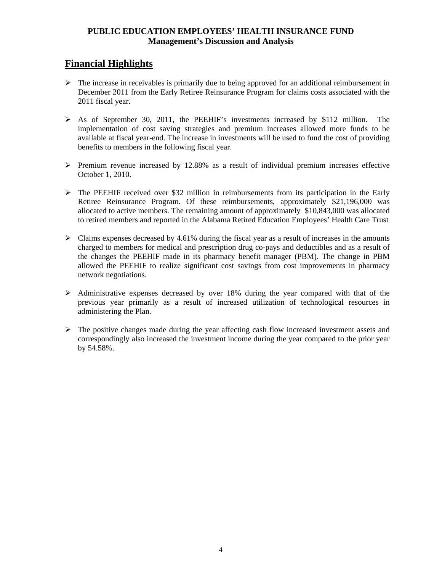# **PUBLIC EDUCATION EMPLOYEES' HEALTH INSURANCE FUND Management's Discussion and Analysis**

# **Financial Highlights**

- $\triangleright$  The increase in receivables is primarily due to being approved for an additional reimbursement in December 2011 from the Early Retiree Reinsurance Program for claims costs associated with the 2011 fiscal year.
- As of September 30, 2011, the PEEHIF's investments increased by \$112 million. The implementation of cost saving strategies and premium increases allowed more funds to be available at fiscal year-end. The increase in investments will be used to fund the cost of providing benefits to members in the following fiscal year.
- $\triangleright$  Premium revenue increased by 12.88% as a result of individual premium increases effective October 1, 2010.
- $\triangleright$  The PEEHIF received over \$32 million in reimbursements from its participation in the Early Retiree Reinsurance Program. Of these reimbursements, approximately \$21,196,000 was allocated to active members. The remaining amount of approximately \$10,843,000 was allocated to retired members and reported in the Alabama Retired Education Employees' Health Care Trust
- $\triangleright$  Claims expenses decreased by 4.61% during the fiscal year as a result of increases in the amounts charged to members for medical and prescription drug co-pays and deductibles and as a result of the changes the PEEHIF made in its pharmacy benefit manager (PBM). The change in PBM allowed the PEEHIF to realize significant cost savings from cost improvements in pharmacy network negotiations.
- $\triangleright$  Administrative expenses decreased by over 18% during the year compared with that of the previous year primarily as a result of increased utilization of technological resources in administering the Plan.
- $\triangleright$  The positive changes made during the year affecting cash flow increased investment assets and correspondingly also increased the investment income during the year compared to the prior year by 54.58%.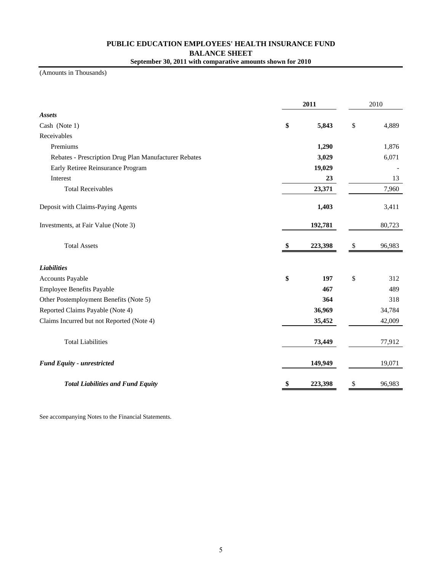## **PUBLIC EDUCATION EMPLOYEES' HEALTH INSURANCE FUND BALANCE SHEET September 30, 2011 with comparative amounts shown for 2010**

(Amounts in Thousands)

|                                                       | 2011          | 2010         |
|-------------------------------------------------------|---------------|--------------|
| <b>Assets</b>                                         |               |              |
| Cash (Note 1)                                         | \$<br>5,843   | \$<br>4,889  |
| Receivables                                           |               |              |
| Premiums                                              | 1,290         | 1,876        |
| Rebates - Prescription Drug Plan Manufacturer Rebates | 3,029         | 6,071        |
| Early Retiree Reinsurance Program                     | 19,029        |              |
| Interest                                              | 23            | 13           |
| <b>Total Receivables</b>                              | 23,371        | 7,960        |
| Deposit with Claims-Paying Agents                     | 1,403         | 3,411        |
| Investments, at Fair Value (Note 3)                   | 192,781       | 80,723       |
| <b>Total Assets</b>                                   | \$<br>223,398 | \$<br>96,983 |
| <b>Liabilities</b>                                    |               |              |
| <b>Accounts Payable</b>                               | \$<br>197     | \$<br>312    |
| Employee Benefits Payable                             | 467           | 489          |
| Other Postemployment Benefits (Note 5)                | 364           | 318          |
| Reported Claims Payable (Note 4)                      | 36,969        | 34,784       |
| Claims Incurred but not Reported (Note 4)             | 35,452        | 42,009       |
| <b>Total Liabilities</b>                              | 73,449        | 77,912       |
| <b>Fund Equity - unrestricted</b>                     | 149,949       | 19,071       |
| <b>Total Liabilities and Fund Equity</b>              | \$<br>223,398 | \$<br>96,983 |

See accompanying Notes to the Financial Statements.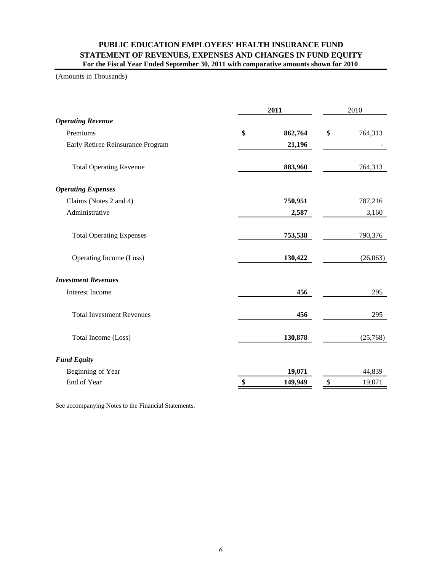## **PUBLIC EDUCATION EMPLOYEES' HEALTH INSURANCE FUND STATEMENT OF REVENUES, EXPENSES AND CHANGES IN FUND EQUITY For the Fiscal Year Ended September 30, 2011 with comparative amounts shown for 2010**

#### (Amounts in Thousands)

|                                   |    |         | 2011 |          |
|-----------------------------------|----|---------|------|----------|
| <b>Operating Revenue</b>          |    |         |      |          |
| Premiums                          | \$ | 862,764 | \$   | 764,313  |
| Early Retiree Reinsurance Program |    | 21,196  |      |          |
| <b>Total Operating Revenue</b>    |    | 883,960 |      | 764,313  |
| <b>Operating Expenses</b>         |    |         |      |          |
| Claims (Notes 2 and 4)            |    | 750,951 |      | 787,216  |
| Administrative                    |    | 2,587   |      | 3,160    |
| <b>Total Operating Expenses</b>   |    | 753,538 |      | 790,376  |
| Operating Income (Loss)           |    | 130,422 |      | (26,063) |
| <b>Investment Revenues</b>        |    |         |      |          |
| <b>Interest Income</b>            |    | 456     |      | 295      |
| <b>Total Investment Revenues</b>  |    | 456     |      | 295      |
| Total Income (Loss)               |    | 130,878 |      | (25,768) |
| <b>Fund Equity</b>                |    |         |      |          |
| Beginning of Year                 |    | 19,071  |      | 44,839   |
| End of Year                       | \$ | 149,949 | $\$$ | 19,071   |

See accompanying Notes to the Financial Statements.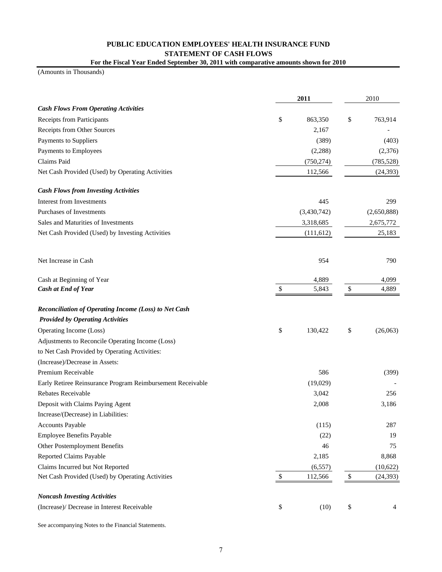## **PUBLIC EDUCATION EMPLOYEES' HEALTH INSURANCE FUND STATEMENT OF CASH FLOWS For the Fiscal Year Ended September 30, 2011 with comparative amounts shown for 2010**

(Amounts in Thousands)

|                                                            | 2011          |        | 2010        |
|------------------------------------------------------------|---------------|--------|-------------|
| <b>Cash Flows From Operating Activities</b>                |               |        |             |
| Receipts from Participants                                 | \$<br>863,350 | \$     | 763,914     |
| Receipts from Other Sources                                | 2,167         |        |             |
| Payments to Suppliers                                      | (389)         |        | (403)       |
| Payments to Employees                                      | (2, 288)      |        | (2,376)     |
| Claims Paid                                                | (750, 274)    |        | (785, 528)  |
| Net Cash Provided (Used) by Operating Activities           | 112,566       |        | (24, 393)   |
| <b>Cash Flows from Investing Activities</b>                |               |        |             |
| <b>Interest from Investments</b>                           | 445           |        | 299         |
| Purchases of Investments                                   | (3,430,742)   |        | (2,650,888) |
| Sales and Maturities of Investments                        | 3,318,685     |        | 2,675,772   |
| Net Cash Provided (Used) by Investing Activities           | (111, 612)    |        | 25,183      |
| Net Increase in Cash                                       | 954           |        | 790         |
| Cash at Beginning of Year                                  | 4,889         |        | 4,099       |
| Cash at End of Year                                        | \$<br>5,843   | \$     | 4,889       |
| Reconciliation of Operating Income (Loss) to Net Cash      |               |        |             |
| <b>Provided by Operating Activities</b>                    |               |        |             |
| Operating Income (Loss)                                    | \$<br>130,422 | \$     | (26,063)    |
| Adjustments to Reconcile Operating Income (Loss)           |               |        |             |
| to Net Cash Provided by Operating Activities:              |               |        |             |
| (Increase)/Decrease in Assets:                             |               |        |             |
| Premium Receivable                                         | 586           |        | (399)       |
| Early Retiree Reinsurance Program Reimbursement Receivable | (19,029)      |        |             |
| Rebates Receivable                                         | 3,042         |        | 256         |
| Deposit with Claims Paying Agent                           | 2,008         |        | 3,186       |
| Increase/(Decrease) in Liabilities:                        |               |        |             |
| <b>Accounts Payable</b>                                    | (115)         |        | 287         |
| Employee Benefits Payable                                  | (22)          |        | 19          |
| Other Postemployment Benefits                              | 46            |        | 75          |
| <b>Reported Claims Payable</b>                             | 2,185         |        | 8,868       |
| Claims Incurred but Not Reported                           | (6, 557)      |        | (10,622)    |
| Net Cash Provided (Used) by Operating Activities           | \$<br>112,566 | $\$\,$ | (24, 393)   |
| <b>Noncash Investing Activities</b>                        |               |        |             |
| (Increase)/ Decrease in Interest Receivable                | \$<br>(10)    | \$     | 4           |

See accompanying Notes to the Financial Statements.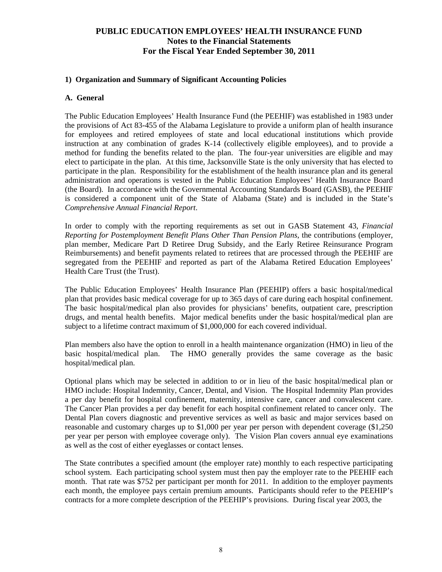## **1) Organization and Summary of Significant Accounting Policies**

## **A. General**

The Public Education Employees' Health Insurance Fund (the PEEHIF) was established in 1983 under the provisions of Act 83-455 of the Alabama Legislature to provide a uniform plan of health insurance for employees and retired employees of state and local educational institutions which provide instruction at any combination of grades K-14 (collectively eligible employees), and to provide a method for funding the benefits related to the plan. The four-year universities are eligible and may elect to participate in the plan. At this time, Jacksonville State is the only university that has elected to participate in the plan. Responsibility for the establishment of the health insurance plan and its general administration and operations is vested in the Public Education Employees' Health Insurance Board (the Board). In accordance with the Governmental Accounting Standards Board (GASB), the PEEHIF is considered a component unit of the State of Alabama (State) and is included in the State's *Comprehensive Annual Financial Report*.

In order to comply with the reporting requirements as set out in GASB Statement 43, *Financial Reporting for Postemployment Benefit Plans Other Than Pension Plans*, the contributions (employer, plan member, Medicare Part D Retiree Drug Subsidy, and the Early Retiree Reinsurance Program Reimbursements) and benefit payments related to retirees that are processed through the PEEHIF are segregated from the PEEHIF and reported as part of the Alabama Retired Education Employees' Health Care Trust (the Trust).

The Public Education Employees' Health Insurance Plan (PEEHIP) offers a basic hospital/medical plan that provides basic medical coverage for up to 365 days of care during each hospital confinement. The basic hospital/medical plan also provides for physicians' benefits, outpatient care, prescription drugs, and mental health benefits. Major medical benefits under the basic hospital/medical plan are subject to a lifetime contract maximum of \$1,000,000 for each covered individual.

Plan members also have the option to enroll in a health maintenance organization (HMO) in lieu of the basic hospital/medical plan. The HMO generally provides the same coverage as the basic hospital/medical plan.

Optional plans which may be selected in addition to or in lieu of the basic hospital/medical plan or HMO include: Hospital Indemnity, Cancer, Dental, and Vision. The Hospital Indemnity Plan provides a per day benefit for hospital confinement, maternity, intensive care, cancer and convalescent care. The Cancer Plan provides a per day benefit for each hospital confinement related to cancer only. The Dental Plan covers diagnostic and preventive services as well as basic and major services based on reasonable and customary charges up to \$1,000 per year per person with dependent coverage (\$1,250 per year per person with employee coverage only). The Vision Plan covers annual eye examinations as well as the cost of either eyeglasses or contact lenses.

The State contributes a specified amount (the employer rate) monthly to each respective participating school system. Each participating school system must then pay the employer rate to the PEEHIF each month. That rate was \$752 per participant per month for 2011. In addition to the employer payments each month, the employee pays certain premium amounts. Participants should refer to the PEEHIP's contracts for a more complete description of the PEEHIP's provisions. During fiscal year 2003, the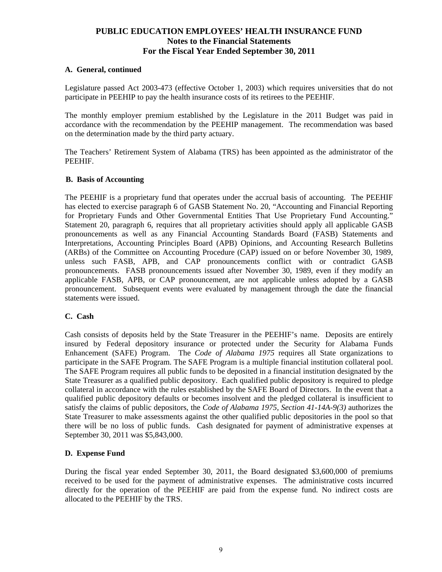## **A. General, continued**

Legislature passed Act 2003-473 (effective October 1, 2003) which requires universities that do not participate in PEEHIP to pay the health insurance costs of its retirees to the PEEHIF.

The monthly employer premium established by the Legislature in the 2011 Budget was paid in accordance with the recommendation by the PEEHIP management. The recommendation was based on the determination made by the third party actuary.

The Teachers' Retirement System of Alabama (TRS) has been appointed as the administrator of the PEEHIF.

#### **B. Basis of Accounting**

The PEEHIF is a proprietary fund that operates under the accrual basis of accounting. The PEEHIF has elected to exercise paragraph 6 of GASB Statement No. 20, "Accounting and Financial Reporting for Proprietary Funds and Other Governmental Entities That Use Proprietary Fund Accounting." Statement 20, paragraph 6, requires that all proprietary activities should apply all applicable GASB pronouncements as well as any Financial Accounting Standards Board (FASB) Statements and Interpretations, Accounting Principles Board (APB) Opinions, and Accounting Research Bulletins (ARBs) of the Committee on Accounting Procedure (CAP) issued on or before November 30, 1989, unless such FASB, APB, and CAP pronouncements conflict with or contradict GASB pronouncements. FASB pronouncements issued after November 30, 1989, even if they modify an applicable FASB, APB, or CAP pronouncement, are not applicable unless adopted by a GASB pronouncement. Subsequent events were evaluated by management through the date the financial statements were issued.

#### **C. Cash**

Cash consists of deposits held by the State Treasurer in the PEEHIF's name. Deposits are entirely insured by Federal depository insurance or protected under the Security for Alabama Funds Enhancement (SAFE) Program. The *Code of Alabama 1975* requires all State organizations to participate in the SAFE Program. The SAFE Program is a multiple financial institution collateral pool. The SAFE Program requires all public funds to be deposited in a financial institution designated by the State Treasurer as a qualified public depository. Each qualified public depository is required to pledge collateral in accordance with the rules established by the SAFE Board of Directors. In the event that a qualified public depository defaults or becomes insolvent and the pledged collateral is insufficient to satisfy the claims of public depositors, the *Code of Alabama 1975, Section 41-14A-9(3)* authorizes the State Treasurer to make assessments against the other qualified public depositories in the pool so that there will be no loss of public funds. Cash designated for payment of administrative expenses at September 30, 2011 was \$5,843,000.

## **D. Expense Fund**

During the fiscal year ended September 30, 2011, the Board designated \$3,600,000 of premiums received to be used for the payment of administrative expenses. The administrative costs incurred directly for the operation of the PEEHIF are paid from the expense fund. No indirect costs are allocated to the PEEHIF by the TRS.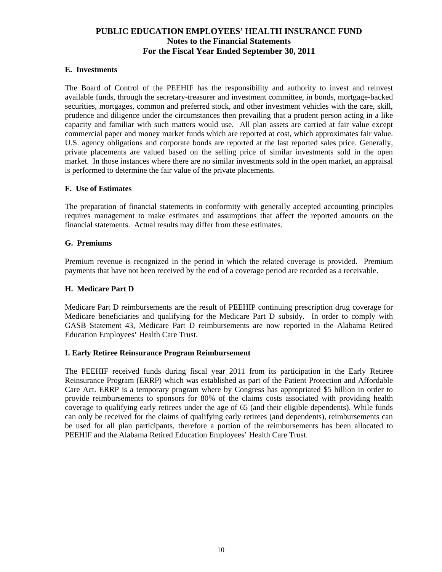## **E. Investments**

The Board of Control of the PEEHIF has the responsibility and authority to invest and reinvest available funds, through the secretary-treasurer and investment committee, in bonds, mortgage-backed securities, mortgages, common and preferred stock, and other investment vehicles with the care, skill, prudence and diligence under the circumstances then prevailing that a prudent person acting in a like capacity and familiar with such matters would use.All plan assets are carried at fair value except commercial paper and money market funds which are reported at cost, which approximates fair value. U.S. agency obligations and corporate bonds are reported at the last reported sales price. Generally, private placements are valued based on the selling price of similar investments sold in the open market. In those instances where there are no similar investments sold in the open market, an appraisal is performed to determine the fair value of the private placements.

## **F. Use of Estimates**

The preparation of financial statements in conformity with generally accepted accounting principles requires management to make estimates and assumptions that affect the reported amounts on the financial statements. Actual results may differ from these estimates.

#### **G. Premiums**

Premium revenue is recognized in the period in which the related coverage is provided. Premium payments that have not been received by the end of a coverage period are recorded as a receivable.

#### **H. Medicare Part D**

Medicare Part D reimbursements are the result of PEEHIP continuing prescription drug coverage for Medicare beneficiaries and qualifying for the Medicare Part D subsidy. In order to comply with GASB Statement 43, Medicare Part D reimbursements are now reported in the Alabama Retired Education Employees' Health Care Trust.

#### **I. Early Retiree Reinsurance Program Reimbursement**

The PEEHIF received funds during fiscal year 2011 from its participation in the Early Retiree Reinsurance Program (ERRP) which was established as part of the Patient Protection and Affordable Care Act. ERRP is a temporary program where by Congress has appropriated \$5 billion in order to provide reimbursements to sponsors for 80% of the claims costs associated with providing health coverage to qualifying early retirees under the age of 65 (and their eligible dependents). While funds can only be received for the claims of qualifying early retirees (and dependents), reimbursements can be used for all plan participants, therefore a portion of the reimbursements has been allocated to PEEHIF and the Alabama Retired Education Employees' Health Care Trust.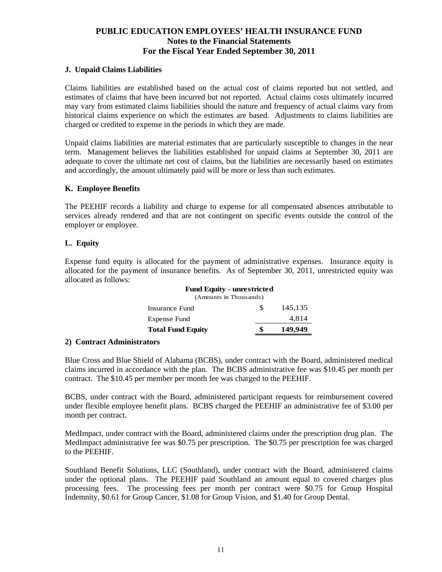## **J. Unpaid Claims Liabilities**

Claims liabilities are established based on the actual cost of claims reported but not settled, and estimates of claims that have been incurred but not reported. Actual claims costs ultimately incurred may vary from estimated claims liabilities should the nature and frequency of actual claims vary from historical claims experience on which the estimates are based. Adjustments to claims liabilities are charged or credited to expense in the periods in which they are made.

Unpaid claims liabilities are material estimates that are particularly susceptible to changes in the near term. Management believes the liabilities established for unpaid claims at September 30, 2011 are adequate to cover the ultimate net cost of claims, but the liabilities are necessarily based on estimates and accordingly, the amount ultimately paid will be more or less than such estimates.

## **K. Employee Benefits**

The PEEHIF records a liability and charge to expense for all compensated absences attributable to services already rendered and that are not contingent on specific events outside the control of the employer or employee.

## **L. Equity**

Expense fund equity is allocated for the payment of administrative expenses. Insurance equity is allocated for the payment of insurance benefits. As of September 30, 2011, unrestricted equity was allocated as follows:

| <b>Fund Equity - unrestricted</b><br>(Amounts in Thousands) |     |         |  |  |  |
|-------------------------------------------------------------|-----|---------|--|--|--|
| Insurance Fund                                              | \$. | 145,135 |  |  |  |
| Expense Fund                                                |     | 4.814   |  |  |  |
| <b>Total Fund Equity</b>                                    |     | 149,949 |  |  |  |
|                                                             |     |         |  |  |  |

#### **2) Contract Administrators**

Blue Cross and Blue Shield of Alabama (BCBS), under contract with the Board, administered medical claims incurred in accordance with the plan. The BCBS administrative fee was \$10.45 per month per contract. The \$10.45 per member per month fee was charged to the PEEHIF.

 BCBS, under contract with the Board, administered participant requests for reimbursement covered under flexible employee benefit plans. BCBS charged the PEEHIF an administrative fee of \$3.00 per month per contract.

MedImpact, under contract with the Board, administered claims under the prescription drug plan. The MedImpact administrative fee was \$0.75 per prescription. The \$0.75 per prescription fee was charged to the PEEHIF.

Southland Benefit Solutions, LLC (Southland), under contract with the Board, administered claims under the optional plans. The PEEHIF paid Southland an amount equal to covered charges plus processing fees. The processing fees per month per contract were \$0.75 for Group Hospital Indemnity, \$0.61 for Group Cancer, \$1.08 for Group Vision, and \$1.40 for Group Dental.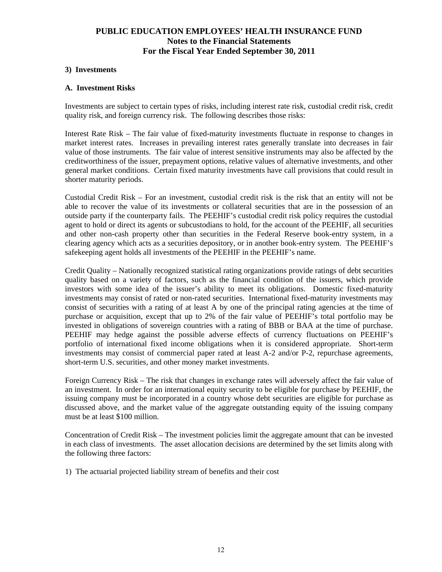#### **3) Investments**

#### **A. Investment Risks**

Investments are subject to certain types of risks, including interest rate risk, custodial credit risk, credit quality risk, and foreign currency risk. The following describes those risks:

Interest Rate Risk – The fair value of fixed-maturity investments fluctuate in response to changes in market interest rates. Increases in prevailing interest rates generally translate into decreases in fair value of those instruments. The fair value of interest sensitive instruments may also be affected by the creditworthiness of the issuer, prepayment options, relative values of alternative investments, and other general market conditions. Certain fixed maturity investments have call provisions that could result in shorter maturity periods.

Custodial Credit Risk – For an investment, custodial credit risk is the risk that an entity will not be able to recover the value of its investments or collateral securities that are in the possession of an outside party if the counterparty fails. The PEEHIF's custodial credit risk policy requires the custodial agent to hold or direct its agents or subcustodians to hold, for the account of the PEEHIF, all securities and other non-cash property other than securities in the Federal Reserve book-entry system, in a clearing agency which acts as a securities depository, or in another book-entry system. The PEEHIF's safekeeping agent holds all investments of the PEEHIF in the PEEHIF's name.

Credit Quality – Nationally recognized statistical rating organizations provide ratings of debt securities quality based on a variety of factors, such as the financial condition of the issuers, which provide investors with some idea of the issuer's ability to meet its obligations. Domestic fixed-maturity investments may consist of rated or non-rated securities. International fixed-maturity investments may consist of securities with a rating of at least A by one of the principal rating agencies at the time of purchase or acquisition, except that up to 2% of the fair value of PEEHIF's total portfolio may be invested in obligations of sovereign countries with a rating of BBB or BAA at the time of purchase. PEEHIF may hedge against the possible adverse effects of currency fluctuations on PEEHIF's portfolio of international fixed income obligations when it is considered appropriate. Short-term investments may consist of commercial paper rated at least A-2 and/or P-2, repurchase agreements, short-term U.S. securities, and other money market investments.

Foreign Currency Risk – The risk that changes in exchange rates will adversely affect the fair value of an investment. In order for an international equity security to be eligible for purchase by PEEHIF, the issuing company must be incorporated in a country whose debt securities are eligible for purchase as discussed above, and the market value of the aggregate outstanding equity of the issuing company must be at least \$100 million.

Concentration of Credit Risk – The investment policies limit the aggregate amount that can be invested in each class of investments. The asset allocation decisions are determined by the set limits along with the following three factors:

1) The actuarial projected liability stream of benefits and their cost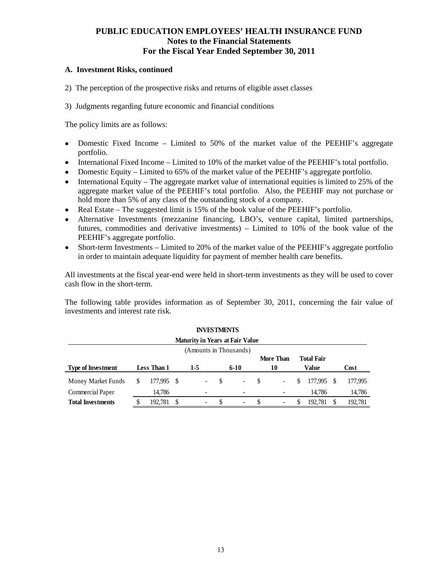#### **A. Investment Risks, continued**

- 2) The perception of the prospective risks and returns of eligible asset classes
- 3) Judgments regarding future economic and financial conditions

The policy limits are as follows:

- Domestic Fixed Income Limited to 50% of the market value of the PEEHIF's aggregate portfolio.
- International Fixed Income Limited to 10% of the market value of the PEEHIF's total portfolio.
- Domestic Equity Limited to 65% of the market value of the PEEHIF's aggregate portfolio.
- $\bullet$  International Equity The aggregate market value of international equities is limited to 25% of the aggregate market value of the PEEHIF's total portfolio. Also, the PEEHIF may not purchase or hold more than 5% of any class of the outstanding stock of a company.
- Real Estate The suggested limit is 15% of the book value of the PEEHIF's portfolio.
- Alternative Investments (mezzanine financing, LBO's, venture capital, limited partnerships, futures, commodities and derivative investments) – Limited to 10% of the book value of the PEEHIF's aggregate portfolio.
- Short-term Investments Limited to 20% of the market value of the PEEHIF's aggregate portfolio in order to maintain adequate liquidity for payment of member health care benefits.

All investments at the fiscal year-end were held in short-term investments as they will be used to cover cash flow in the short-term.

The following table provides information as of September 30, 2011, concerning the fair value of investments and interest rate risk.

| <b>INVESTMENTS</b><br><b>Maturity in Years at Fair Value</b> |  |                    |  |                          |    |                          |    |                          |   |                   |  |         |
|--------------------------------------------------------------|--|--------------------|--|--------------------------|----|--------------------------|----|--------------------------|---|-------------------|--|---------|
|                                                              |  |                    |  |                          |    |                          |    |                          |   |                   |  |         |
| (Amounts in Thousands)                                       |  |                    |  |                          |    |                          |    |                          |   |                   |  |         |
|                                                              |  |                    |  |                          |    |                          |    | More Than                |   | <b>Total Fair</b> |  |         |
| <b>Type of Investment</b>                                    |  | <b>Less Than 1</b> |  | 1-5                      |    | $6 - 10$                 |    | 10                       |   | Value             |  | Cost    |
| Money Market Funds                                           |  | 177,995 \$         |  | $\overline{\phantom{a}}$ | -S | $\sim$                   | S  | $\overline{\phantom{a}}$ | S | 177,995           |  | 177,995 |
| Commercial Paper                                             |  | 14,786             |  | ٠.                       |    |                          |    |                          |   | 14.786            |  | 14,786  |
| <b>Total Investments</b>                                     |  | 192.781            |  | $\overline{\phantom{a}}$ | \$ | $\overline{\phantom{0}}$ | -S | $\overline{\phantom{a}}$ | S | 192.781           |  | 192.781 |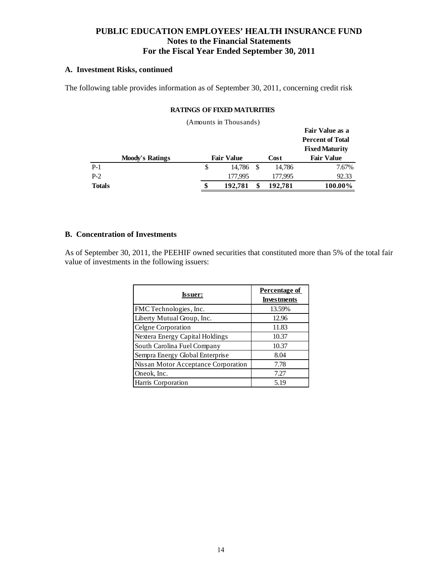## **A. Investment Risks, continued**

The following table provides information as of September 30, 2011, concerning credit risk

#### **RATINGS OF FIXED MATURITIES**

|       |                        |   | (Amounts in Thousands) |         |                                                  |
|-------|------------------------|---|------------------------|---------|--------------------------------------------------|
|       |                        |   |                        |         | Fair Value as a                                  |
|       |                        |   |                        |         | <b>Percent of Total</b><br><b>Fixed Maturity</b> |
|       |                        |   |                        |         |                                                  |
|       | <b>Moody's Ratings</b> |   | <b>Fair Value</b>      | Cost    | <b>Fair Value</b>                                |
| $P-1$ |                        | S | 14.786<br>-S           | 14,786  | 7.67%                                            |
| $P-2$ |                        |   | 177,995                | 177,995 | 92.33                                            |

## **B. Concentration of Investments**

As of September 30, 2011, the PEEHIF owned securities that constituted more than 5% of the total fair value of investments in the following issuers:

| <b>Issuer:</b>                      | Percentage of<br><b>Investments</b> |
|-------------------------------------|-------------------------------------|
| FMC Technologies, Inc.              | 13.59%                              |
| Liberty Mutual Group, Inc.          | 12.96                               |
| Celgne Corporation                  | 11.83                               |
| Nextera Energy Capital Holdings     | 10.37                               |
| South Carolina Fuel Company         | 10.37                               |
| Sempra Energy Global Enterprise     | 8.04                                |
| Nissan Motor Acceptance Corporation | 7.78                                |
| Oneok, Inc.                         | 7.27                                |
| Harris Corporation                  | 5.19                                |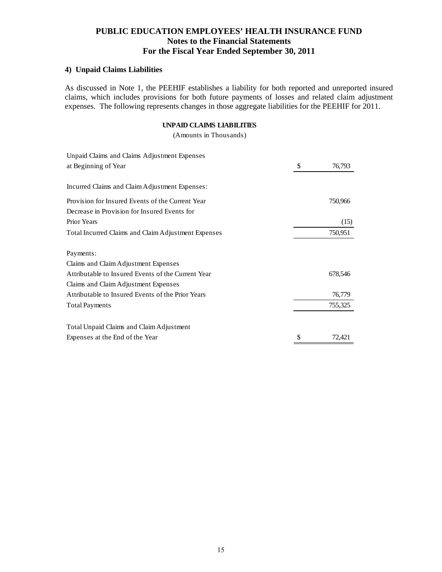## **4) Unpaid Claims Liabilities**

As discussed in Note 1, the PEEHIF establishes a liability for both reported and unreported insured claims, which includes provisions for both future payments of losses and related claim adjustment expenses. The following represents changes in those aggregate liabilities for the PEEHIF for 2011.

#### **UNPAID CLAIMS LIABILITIES**

(Amounts in Thousands)

| Unpaid Claims and Claims Adjustment Expenses        |              |
|-----------------------------------------------------|--------------|
| at Beginning of Year                                | \$<br>76,793 |
| Incurred Claims and Claim Adjustment Expenses:      |              |
| Provision for Insured Events of the Current Year    | 750,966      |
| Decrease in Provision for Insured Events for        |              |
| <b>Prior Years</b>                                  | (15)         |
| Total Incurred Claims and Claim Adjustment Expenses | 750,951      |
| Payments:                                           |              |
| Claims and Claim Adjustment Expenses                |              |
| Attributable to Insured Events of the Current Year  | 678,546      |
| Claims and Claim Adjustment Expenses                |              |
| Attributable to Insured Events of the Prior Years   | 76,779       |
| <b>Total Payments</b>                               | 755,325      |
| Total Unpaid Claims and Claim Adjustment            |              |
| Expenses at the End of the Year                     | 72,421       |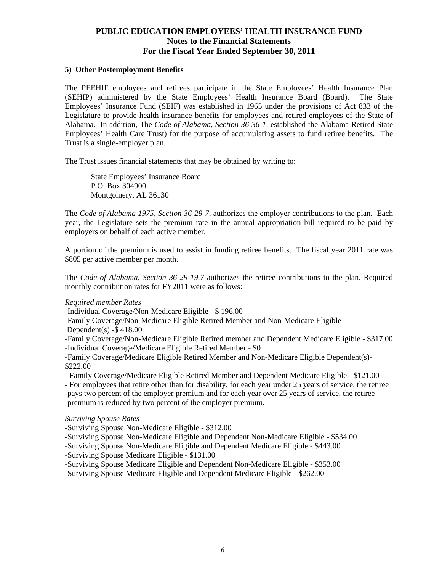#### **5) Other Postemployment Benefits**

The PEEHIF employees and retirees participate in the State Employees' Health Insurance Plan (SEHIP) administered by the State Employees' Health Insurance Board (Board). The State Employees' Insurance Fund (SEIF) was established in 1965 under the provisions of Act 833 of the Legislature to provide health insurance benefits for employees and retired employees of the State of Alabama. In addition, The *Code of Alabama, Section 36-36-1,* established the Alabama Retired State Employees' Health Care Trust) for the purpose of accumulating assets to fund retiree benefits. The Trust is a single-employer plan.

The Trust issues financial statements that may be obtained by writing to:

 State Employees' Insurance Board P.O. Box 304900 Montgomery, AL 36130

The *Code of Alabama 1975, Section 36-29-7,* authorizes the employer contributions to the plan. Each year, the Legislature sets the premium rate in the annual appropriation bill required to be paid by employers on behalf of each active member.

A portion of the premium is used to assist in funding retiree benefits. The fiscal year 2011 rate was \$805 per active member per month.

The *Code of Alabama, Section 36-29-19.7* authorizes the retiree contributions to the plan. Required monthly contribution rates for FY2011 were as follows:

#### *Required member Rates*

-Individual Coverage/Non-Medicare Eligible - \$ 196.00

-Family Coverage/Non-Medicare Eligible Retired Member and Non-Medicare Eligible

Dependent(s)  $-$ \$418.00

-Family Coverage/Non-Medicare Eligible Retired member and Dependent Medicare Eligible - \$317.00 -Individual Coverage/Medicare Eligible Retired Member - \$0

-Family Coverage/Medicare Eligible Retired Member and Non-Medicare Eligible Dependent(s)- \$222.00

- Family Coverage/Medicare Eligible Retired Member and Dependent Medicare Eligible - \$121.00

- For employees that retire other than for disability, for each year under 25 years of service, the retiree pays two percent of the employer premium and for each year over 25 years of service, the retiree premium is reduced by two percent of the employer premium.

*Surviving Spouse Rates* 

-Surviving Spouse Non-Medicare Eligible - \$312.00

-Surviving Spouse Non-Medicare Eligible and Dependent Non-Medicare Eligible - \$534.00

-Surviving Spouse Non-Medicare Eligible and Dependent Medicare Eligible - \$443.00

-Surviving Spouse Medicare Eligible - \$131.00

-Surviving Spouse Medicare Eligible and Dependent Non-Medicare Eligible - \$353.00

-Surviving Spouse Medicare Eligible and Dependent Medicare Eligible - \$262.00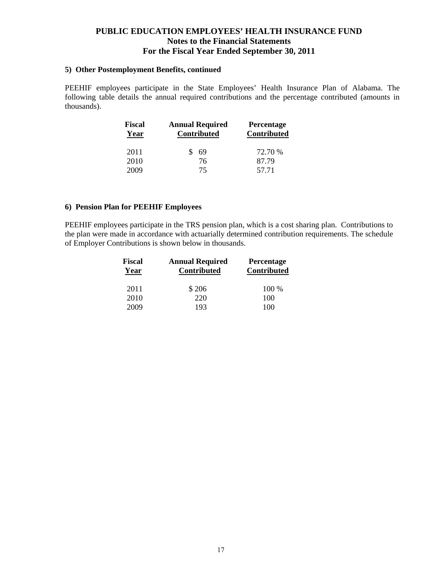#### **5) Other Postemployment Benefits, continued**

PEEHIF employees participate in the State Employees' Health Insurance Plan of Alabama. The following table details the annual required contributions and the percentage contributed (amounts in thousands).

| <b>Fiscal</b><br>Year | <b>Annual Required</b><br><b>Contributed</b> | <b>Percentage</b><br><b>Contributed</b> |  |  |
|-----------------------|----------------------------------------------|-----------------------------------------|--|--|
| 2011                  | 69                                           | 72.70 %                                 |  |  |
| 2010                  | 76                                           | 87.79                                   |  |  |
| 2009                  | 75                                           | 57.71                                   |  |  |

## **6) Pension Plan for PEEHIF Employees**

PEEHIF employees participate in the TRS pension plan, which is a cost sharing plan. Contributions to the plan were made in accordance with actuarially determined contribution requirements. The schedule of Employer Contributions is shown below in thousands.

| <b>Fiscal</b><br>Year | <b>Annual Required</b><br><b>Contributed</b> | <b>Percentage</b><br><b>Contributed</b> |  |  |
|-----------------------|----------------------------------------------|-----------------------------------------|--|--|
| 2011                  | \$206                                        | 100 %                                   |  |  |
| 2010                  | 220                                          | 100                                     |  |  |
| 2009                  | 193                                          | 100                                     |  |  |